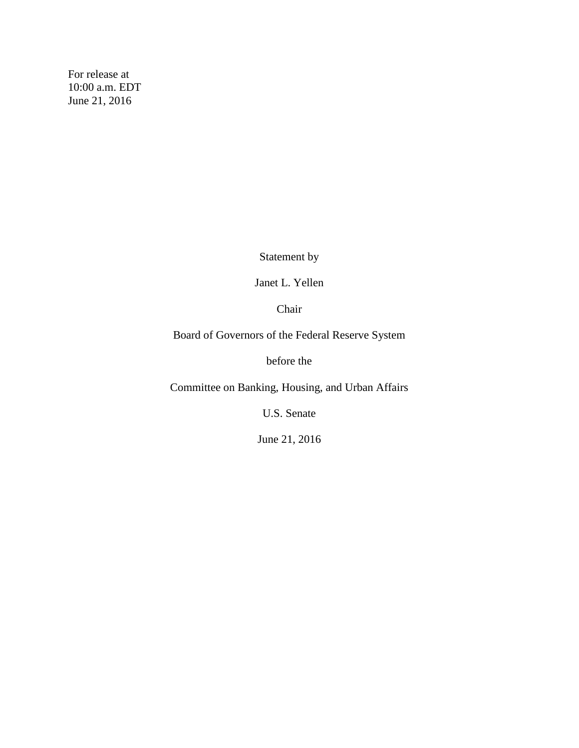For release at 10:00 a.m. EDT June 21, 2016

Statement by

Janet L. Yellen

Chair

Board of Governors of the Federal Reserve System

before the

Committee on Banking, Housing, and Urban Affairs

U.S. Senate

June 21, 2016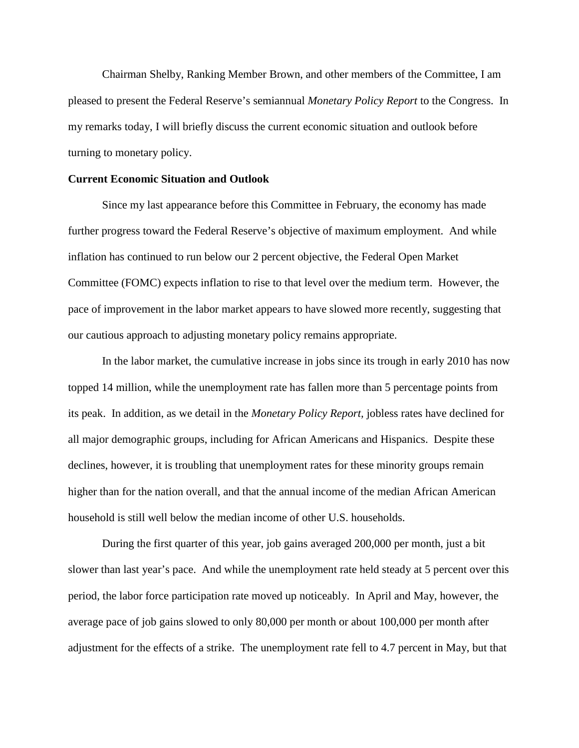Chairman Shelby, Ranking Member Brown, and other members of the Committee, I am pleased to present the Federal Reserve's semiannual *Monetary Policy Report* to the Congress. In my remarks today, I will briefly discuss the current economic situation and outlook before turning to monetary policy.

## **Current Economic Situation and Outlook**

Since my last appearance before this Committee in February, the economy has made further progress toward the Federal Reserve's objective of maximum employment. And while inflation has continued to run below our 2 percent objective, the Federal Open Market Committee (FOMC) expects inflation to rise to that level over the medium term. However, the pace of improvement in the labor market appears to have slowed more recently, suggesting that our cautious approach to adjusting monetary policy remains appropriate.

In the labor market, the cumulative increase in jobs since its trough in early 2010 has now topped 14 million, while the unemployment rate has fallen more than 5 percentage points from its peak. In addition, as we detail in the *Monetary Policy Report,* jobless rates have declined for all major demographic groups, including for African Americans and Hispanics. Despite these declines, however, it is troubling that unemployment rates for these minority groups remain higher than for the nation overall, and that the annual income of the median African American household is still well below the median income of other U.S. households.

During the first quarter of this year, job gains averaged 200,000 per month, just a bit slower than last year's pace. And while the unemployment rate held steady at 5 percent over this period, the labor force participation rate moved up noticeably. In April and May, however, the average pace of job gains slowed to only 80,000 per month or about 100,000 per month after adjustment for the effects of a strike. The unemployment rate fell to 4.7 percent in May, but that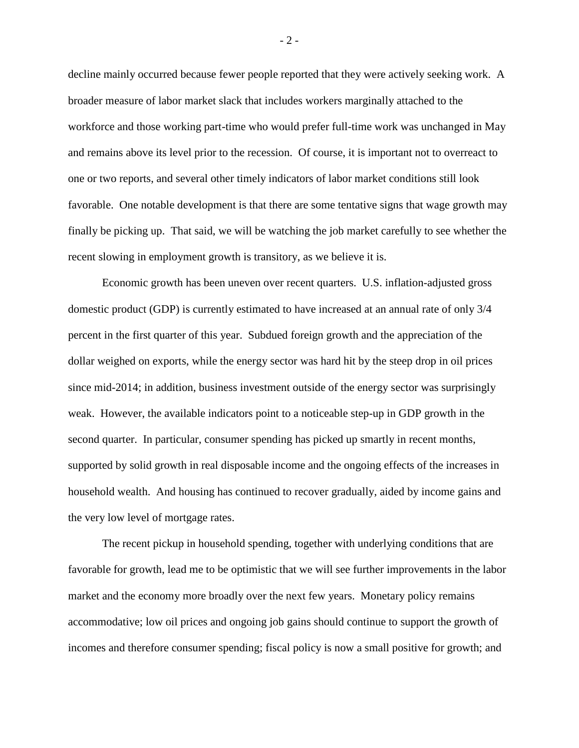decline mainly occurred because fewer people reported that they were actively seeking work. A broader measure of labor market slack that includes workers marginally attached to the workforce and those working part-time who would prefer full-time work was unchanged in May and remains above its level prior to the recession. Of course, it is important not to overreact to one or two reports, and several other timely indicators of labor market conditions still look favorable. One notable development is that there are some tentative signs that wage growth may finally be picking up. That said, we will be watching the job market carefully to see whether the recent slowing in employment growth is transitory, as we believe it is.

Economic growth has been uneven over recent quarters. U.S. inflation-adjusted gross domestic product (GDP) is currently estimated to have increased at an annual rate of only 3/4 percent in the first quarter of this year. Subdued foreign growth and the appreciation of the dollar weighed on exports, while the energy sector was hard hit by the steep drop in oil prices since mid-2014; in addition, business investment outside of the energy sector was surprisingly weak. However, the available indicators point to a noticeable step-up in GDP growth in the second quarter. In particular, consumer spending has picked up smartly in recent months, supported by solid growth in real disposable income and the ongoing effects of the increases in household wealth. And housing has continued to recover gradually, aided by income gains and the very low level of mortgage rates.

The recent pickup in household spending, together with underlying conditions that are favorable for growth, lead me to be optimistic that we will see further improvements in the labor market and the economy more broadly over the next few years. Monetary policy remains accommodative; low oil prices and ongoing job gains should continue to support the growth of incomes and therefore consumer spending; fiscal policy is now a small positive for growth; and

- 2 -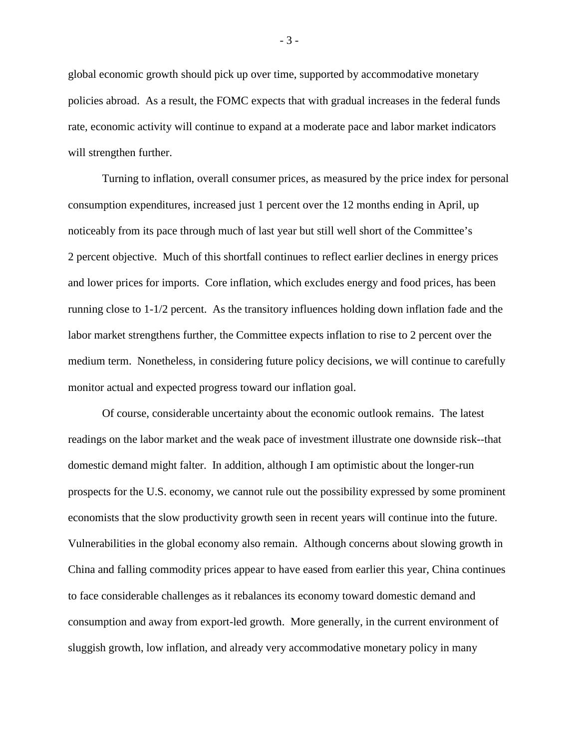global economic growth should pick up over time, supported by accommodative monetary policies abroad. As a result, the FOMC expects that with gradual increases in the federal funds rate, economic activity will continue to expand at a moderate pace and labor market indicators will strengthen further.

Turning to inflation, overall consumer prices, as measured by the price index for personal consumption expenditures, increased just 1 percent over the 12 months ending in April, up noticeably from its pace through much of last year but still well short of the Committee's 2 percent objective. Much of this shortfall continues to reflect earlier declines in energy prices and lower prices for imports. Core inflation, which excludes energy and food prices, has been running close to 1-1/2 percent. As the transitory influences holding down inflation fade and the labor market strengthens further, the Committee expects inflation to rise to 2 percent over the medium term. Nonetheless, in considering future policy decisions, we will continue to carefully monitor actual and expected progress toward our inflation goal.

Of course, considerable uncertainty about the economic outlook remains. The latest readings on the labor market and the weak pace of investment illustrate one downside risk--that domestic demand might falter. In addition, although I am optimistic about the longer-run prospects for the U.S. economy, we cannot rule out the possibility expressed by some prominent economists that the slow productivity growth seen in recent years will continue into the future. Vulnerabilities in the global economy also remain. Although concerns about slowing growth in China and falling commodity prices appear to have eased from earlier this year, China continues to face considerable challenges as it rebalances its economy toward domestic demand and consumption and away from export-led growth. More generally, in the current environment of sluggish growth, low inflation, and already very accommodative monetary policy in many

- 3 -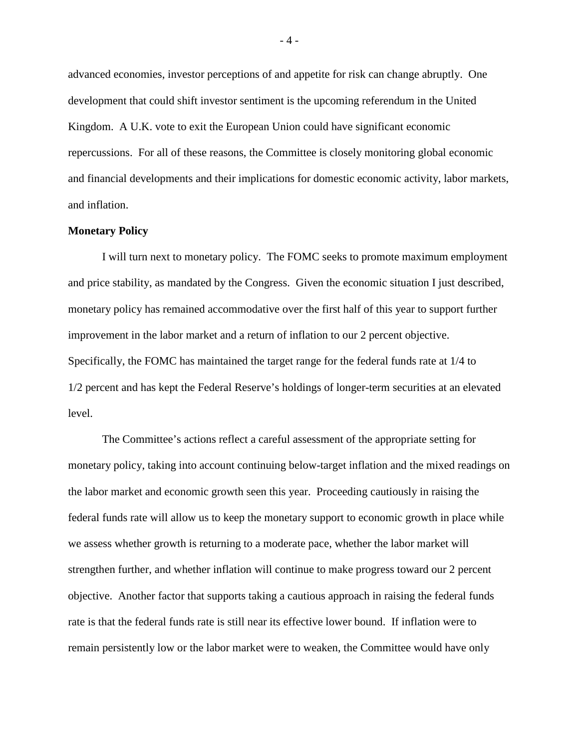advanced economies, investor perceptions of and appetite for risk can change abruptly. One development that could shift investor sentiment is the upcoming referendum in the United Kingdom. A U.K. vote to exit the European Union could have significant economic repercussions. For all of these reasons, the Committee is closely monitoring global economic and financial developments and their implications for domestic economic activity, labor markets, and inflation.

## **Monetary Policy**

I will turn next to monetary policy. The FOMC seeks to promote maximum employment and price stability, as mandated by the Congress. Given the economic situation I just described, monetary policy has remained accommodative over the first half of this year to support further improvement in the labor market and a return of inflation to our 2 percent objective. Specifically, the FOMC has maintained the target range for the federal funds rate at 1/4 to 1/2 percent and has kept the Federal Reserve's holdings of longer-term securities at an elevated level.

The Committee's actions reflect a careful assessment of the appropriate setting for monetary policy, taking into account continuing below-target inflation and the mixed readings on the labor market and economic growth seen this year. Proceeding cautiously in raising the federal funds rate will allow us to keep the monetary support to economic growth in place while we assess whether growth is returning to a moderate pace, whether the labor market will strengthen further, and whether inflation will continue to make progress toward our 2 percent objective. Another factor that supports taking a cautious approach in raising the federal funds rate is that the federal funds rate is still near its effective lower bound. If inflation were to remain persistently low or the labor market were to weaken, the Committee would have only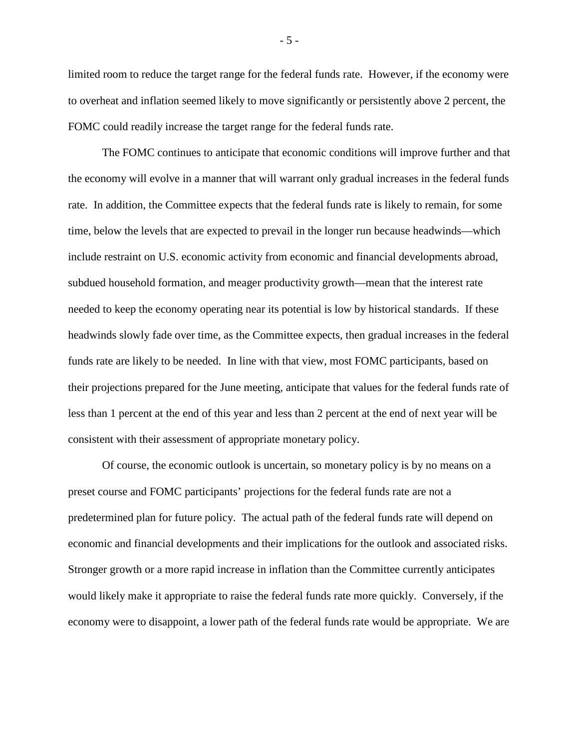limited room to reduce the target range for the federal funds rate. However, if the economy were to overheat and inflation seemed likely to move significantly or persistently above 2 percent, the FOMC could readily increase the target range for the federal funds rate.

The FOMC continues to anticipate that economic conditions will improve further and that the economy will evolve in a manner that will warrant only gradual increases in the federal funds rate. In addition, the Committee expects that the federal funds rate is likely to remain, for some time, below the levels that are expected to prevail in the longer run because headwinds—which include restraint on U.S. economic activity from economic and financial developments abroad, subdued household formation, and meager productivity growth—mean that the interest rate needed to keep the economy operating near its potential is low by historical standards. If these headwinds slowly fade over time, as the Committee expects, then gradual increases in the federal funds rate are likely to be needed. In line with that view, most FOMC participants, based on their projections prepared for the June meeting, anticipate that values for the federal funds rate of less than 1 percent at the end of this year and less than 2 percent at the end of next year will be consistent with their assessment of appropriate monetary policy.

Of course, the economic outlook is uncertain, so monetary policy is by no means on a preset course and FOMC participants' projections for the federal funds rate are not a predetermined plan for future policy. The actual path of the federal funds rate will depend on economic and financial developments and their implications for the outlook and associated risks. Stronger growth or a more rapid increase in inflation than the Committee currently anticipates would likely make it appropriate to raise the federal funds rate more quickly. Conversely, if the economy were to disappoint, a lower path of the federal funds rate would be appropriate. We are

- 5 -